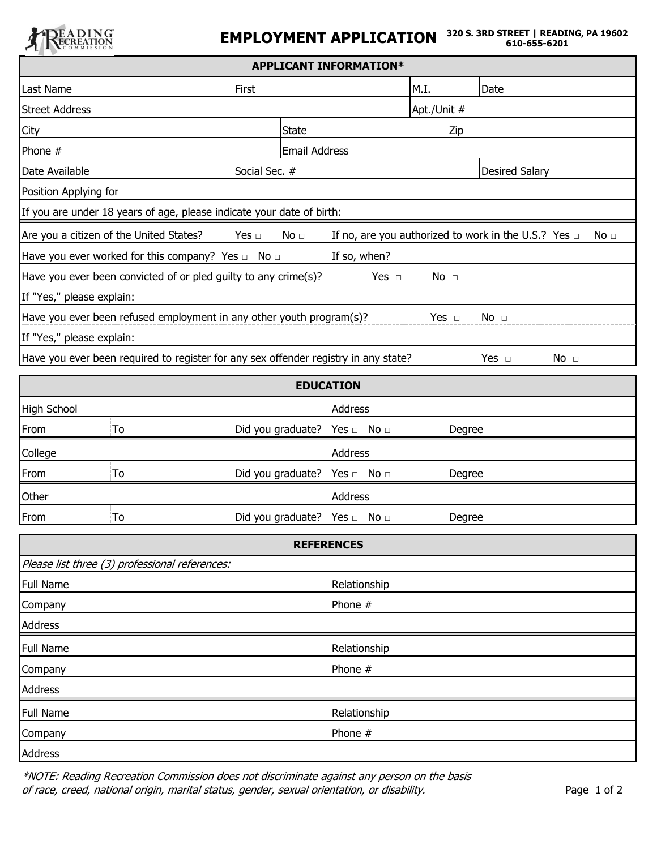

| <b>APPLICANT INFORMATION*</b>                                                                         |                                                                                     |                               |                      |                                                                              |                       |            |                 |  |  |  |
|-------------------------------------------------------------------------------------------------------|-------------------------------------------------------------------------------------|-------------------------------|----------------------|------------------------------------------------------------------------------|-----------------------|------------|-----------------|--|--|--|
| Last Name                                                                                             |                                                                                     | First                         |                      |                                                                              | M.I.                  | Date       |                 |  |  |  |
| <b>Street Address</b>                                                                                 |                                                                                     |                               |                      |                                                                              | Apt./Unit #           |            |                 |  |  |  |
| City                                                                                                  |                                                                                     |                               | <b>State</b>         |                                                                              | Zip                   |            |                 |  |  |  |
| Phone #                                                                                               |                                                                                     |                               | <b>Email Address</b> |                                                                              |                       |            |                 |  |  |  |
| Date Available<br>Social Sec. #                                                                       |                                                                                     |                               |                      |                                                                              | <b>Desired Salary</b> |            |                 |  |  |  |
| Position Applying for                                                                                 |                                                                                     |                               |                      |                                                                              |                       |            |                 |  |  |  |
| If you are under 18 years of age, please indicate your date of birth:                                 |                                                                                     |                               |                      |                                                                              |                       |            |                 |  |  |  |
|                                                                                                       | Are you a citizen of the United States?                                             | Yes $\Box$<br>No <sub>1</sub> |                      | If no, are you authorized to work in the U.S.? Yes $\Box$<br>No <sub>1</sub> |                       |            |                 |  |  |  |
| Have you ever worked for this company? Yes $\Box$ No $\Box$                                           | If so, when?                                                                        |                               |                      |                                                                              |                       |            |                 |  |  |  |
| Have you ever been convicted of or pled guilty to any crime(s)?<br>Yes $\Box$<br>No <sub>1</sub>      |                                                                                     |                               |                      |                                                                              |                       |            |                 |  |  |  |
| If "Yes," please explain:                                                                             |                                                                                     |                               |                      |                                                                              |                       |            |                 |  |  |  |
| Have you ever been refused employment in any other youth program(s)?<br>Yes $\Box$<br>No <sub>1</sub> |                                                                                     |                               |                      |                                                                              |                       |            |                 |  |  |  |
| If "Yes," please explain:                                                                             |                                                                                     |                               |                      |                                                                              |                       |            |                 |  |  |  |
|                                                                                                       | Have you ever been required to register for any sex offender registry in any state? |                               |                      |                                                                              |                       | Yes $\Box$ | No <sub>1</sub> |  |  |  |
| <b>EDUCATION</b>                                                                                      |                                                                                     |                               |                      |                                                                              |                       |            |                 |  |  |  |
| <b>High School</b>                                                                                    |                                                                                     |                               |                      | <b>Address</b>                                                               |                       |            |                 |  |  |  |
| From                                                                                                  | To                                                                                  |                               |                      | Did you graduate? Yes □ No □                                                 |                       | Degree     |                 |  |  |  |
| College                                                                                               |                                                                                     |                               |                      | <b>Address</b>                                                               |                       |            |                 |  |  |  |
| From                                                                                                  | To                                                                                  |                               |                      | Did you graduate? Yes n No                                                   |                       | Degree     |                 |  |  |  |
| Other                                                                                                 |                                                                                     |                               |                      | <b>Address</b>                                                               |                       |            |                 |  |  |  |
| From                                                                                                  | To                                                                                  |                               |                      | Did you graduate? Yes □ No □                                                 |                       | Degree     |                 |  |  |  |
|                                                                                                       |                                                                                     |                               |                      | <b>REFERENCES</b>                                                            |                       |            |                 |  |  |  |
|                                                                                                       | Please list three (3) professional references:                                      |                               |                      |                                                                              |                       |            |                 |  |  |  |
| <b>Full Name</b>                                                                                      |                                                                                     |                               |                      | Relationship                                                                 |                       |            |                 |  |  |  |
| Company                                                                                               |                                                                                     |                               |                      | Phone #                                                                      |                       |            |                 |  |  |  |
| <b>Address</b>                                                                                        |                                                                                     |                               |                      |                                                                              |                       |            |                 |  |  |  |
| <b>Full Name</b>                                                                                      |                                                                                     |                               |                      | Relationship                                                                 |                       |            |                 |  |  |  |
| Company                                                                                               |                                                                                     |                               |                      | Phone #                                                                      |                       |            |                 |  |  |  |
| Address                                                                                               |                                                                                     |                               |                      |                                                                              |                       |            |                 |  |  |  |
| <b>Full Name</b>                                                                                      |                                                                                     |                               |                      | Relationship                                                                 |                       |            |                 |  |  |  |
| Company                                                                                               |                                                                                     |                               |                      | Phone #                                                                      |                       |            |                 |  |  |  |
| Address                                                                                               |                                                                                     |                               |                      |                                                                              |                       |            |                 |  |  |  |

\_\_\_\_\_\_\_\_\_\_\_\_\_\_\_\_\_\_\_\_

\*NOTE: Reading Recreation Commission does not discriminate against any person on the basis of race, creed, national origin, marital status, gender, sexual orientation, or disability.